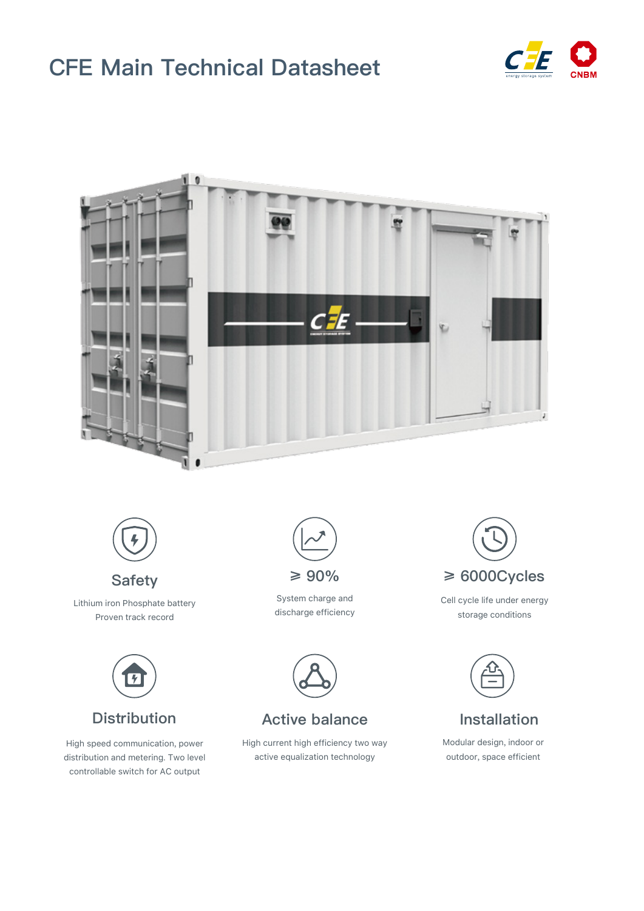# **CFE Main Technical Datasheet**







**Safety** Lithium iron Phosphate battery Proven track record



High speed communication, power distribution and metering. Two level controllable switch for AC output



System charge and discharge efficiency



Cell cycle life under energy storage conditions



Modular design, indoor or outdoor, space efficient



### **Distribution Mactive balance Active Installation**

High current high efficiency two way active equalization technology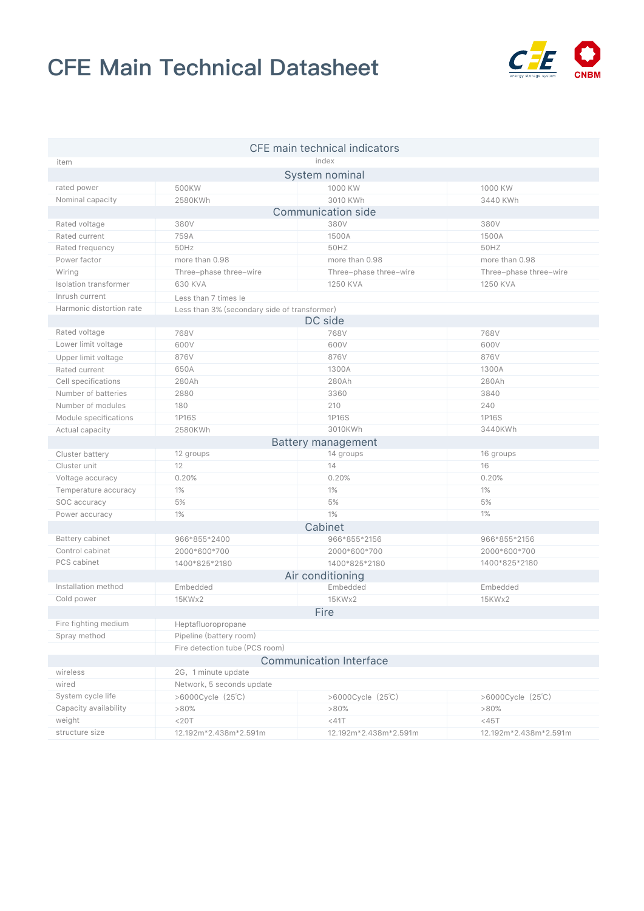## **CFE Main Technical Datasheet**



| CFE main technical indicators  |                                              |                        |                        |
|--------------------------------|----------------------------------------------|------------------------|------------------------|
| item                           |                                              | index                  |                        |
| System nominal                 |                                              |                        |                        |
| rated power                    | 500KW                                        | 1000 KW                | 1000 KW                |
| Nominal capacity               | 2580KWh                                      | 3010 KWh               | 3440 KWh               |
| <b>Communication side</b>      |                                              |                        |                        |
| Rated voltage                  | 380V                                         | 380V                   | 380V                   |
| Rated current                  | 759A                                         | 1500A                  | 1500A                  |
| Rated frequency                | 50Hz                                         | 50HZ                   | 50HZ                   |
| Power factor                   | more than 0.98                               | more than 0.98         | more than 0.98         |
| Wiring                         | Three-phase three-wire                       | Three-phase three-wire | Three-phase three-wire |
| Isolation transformer          | 630 KVA                                      | 1250 KVA               | 1250 KVA               |
| Inrush current                 | Less than 7 times le                         |                        |                        |
| Harmonic distortion rate       | Less than 3% (secondary side of transformer) |                        |                        |
| DC side                        |                                              |                        |                        |
| Rated voltage                  | 768V                                         | 768V                   | 768V                   |
| Lower limit voltage            | 600V                                         | 600V                   | 600V                   |
| Upper limit voltage            | 876V                                         | 876V                   | 876V                   |
| Rated current                  | 650A                                         | 1300A                  | 1300A                  |
| Cell specifications            | 280Ah                                        | 280Ah                  | 280Ah                  |
| Number of batteries            | 2880                                         | 3360                   | 3840                   |
| Number of modules              | 180                                          | 210                    | 240                    |
| Module specifications          | 1P16S                                        | 1P16S                  | 1P16S                  |
| Actual capacity                | 2580KWh                                      | 3010KWh                | 3440KWh                |
| <b>Battery management</b>      |                                              |                        |                        |
| Cluster battery                | 12 groups                                    | 14 groups              | 16 groups              |
| Cluster unit                   | 12                                           | 14                     | 16                     |
| Voltage accuracy               | 0.20%                                        | 0.20%                  | 0.20%                  |
| Temperature accuracy           | 1%                                           | 1%                     | $1\%$                  |
| SOC accuracy                   | 5%                                           | 5%                     | 5%                     |
| Power accuracy                 | 1%                                           | 1%                     | 1%                     |
| Cabinet                        |                                              |                        |                        |
| Battery cabinet                | 966*855*2400                                 | 966*855*2156           | 966*855*2156           |
| Control cabinet                | 2000*600*700                                 | 2000*600*700           | 2000*600*700           |
| PCS cabinet                    | 1400*825*2180                                | 1400*825*2180          | 1400*825*2180          |
| Air conditioning               |                                              |                        |                        |
| Installation method            | Embedded                                     | Embedded               | Embedded               |
| Cold power                     | 15KWx2                                       | 15KWx2                 | 15KWx2                 |
|                                |                                              | Fire                   |                        |
| Fire fighting medium           | Heptafluoropropane                           |                        |                        |
| Spray method                   | Pipeline (battery room)                      |                        |                        |
|                                | Fire detection tube (PCS room)               |                        |                        |
| <b>Communication Interface</b> |                                              |                        |                        |
| wireless                       | 2G, 1 minute update                          |                        |                        |
| wired                          | Network, 5 seconds update                    |                        |                        |
| System cycle life              | >6000Cycle (25°C)                            | >6000Cycle (25°C)      | >6000Cycle (25°C)      |
| Capacity availability          | $>80\%$                                      | $>80\%$                | $>80\%$                |
| weight                         | $<$ 20T                                      | $<$ 41 $T$             | $<$ 45T                |
| structure size                 | 12.192m*2.438m*2.591m                        | 12.192m*2.438m*2.591m  | 12.192m*2.438m*2.591m  |